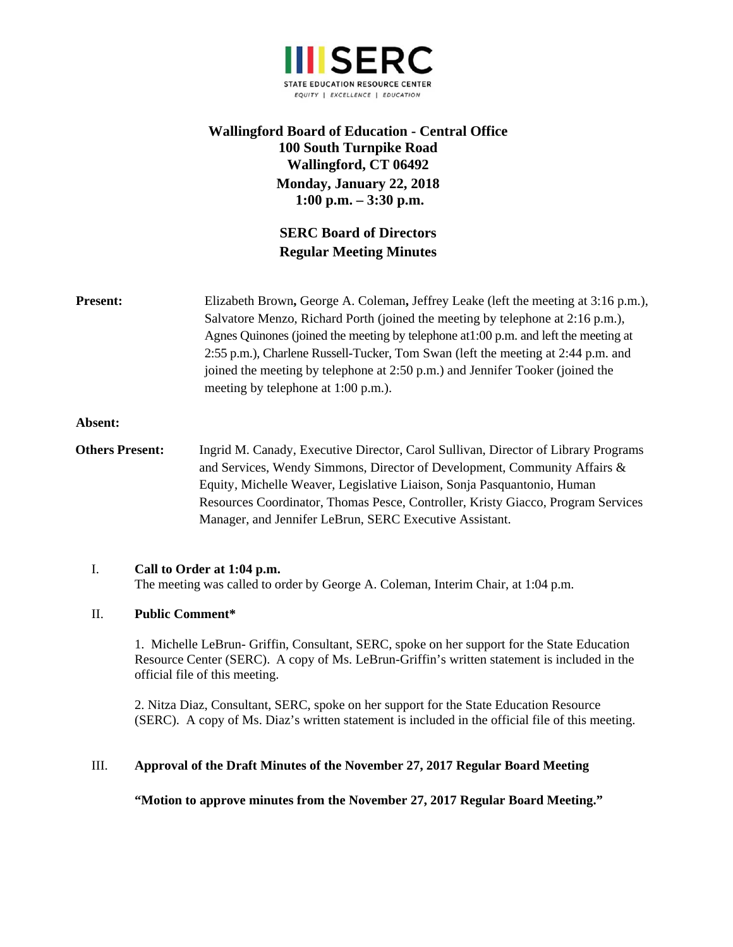

## **Wallingford Board of Education - Central Office 100 South Turnpike Road Wallingford, CT 06492 Monday, January 22, 2018 1:00 p.m. – 3:30 p.m.**

# **SERC Board of Directors Regular Meeting Minutes**

**Present:** Elizabeth Brown, George A. Coleman, Jeffrey Leake (left the meeting at 3:16 p.m.), Salvatore Menzo, Richard Porth (joined the meeting by telephone at 2:16 p.m.), Agnes Quinones (joined the meeting by telephone at1:00 p.m. and left the meeting at 2:55 p.m.), Charlene Russell-Tucker, Tom Swan (left the meeting at 2:44 p.m. and joined the meeting by telephone at 2:50 p.m.) and Jennifer Tooker (joined the meeting by telephone at 1:00 p.m.).

#### **Absent:**

**Others Present:** Ingrid M. Canady, Executive Director, Carol Sullivan, Director of Library Programs and Services, Wendy Simmons, Director of Development, Community Affairs & Equity, Michelle Weaver, Legislative Liaison, Sonja Pasquantonio, Human Resources Coordinator, Thomas Pesce, Controller, Kristy Giacco, Program Services Manager, and Jennifer LeBrun, SERC Executive Assistant.

## I. **Call to Order at 1:04 p.m.**

The meeting was called to order by George A. Coleman, Interim Chair, at 1:04 p.m.

## II. **Public Comment\***

1. Michelle LeBrun- Griffin, Consultant, SERC, spoke on her support for the State Education Resource Center (SERC). A copy of Ms. LeBrun-Griffin's written statement is included in the official file of this meeting.

2. Nitza Diaz, Consultant, SERC, spoke on her support for the State Education Resource (SERC). A copy of Ms. Diaz's written statement is included in the official file of this meeting.

## III. **Approval of the Draft Minutes of the November 27, 2017 Regular Board Meeting**

**"Motion to approve minutes from the November 27, 2017 Regular Board Meeting."**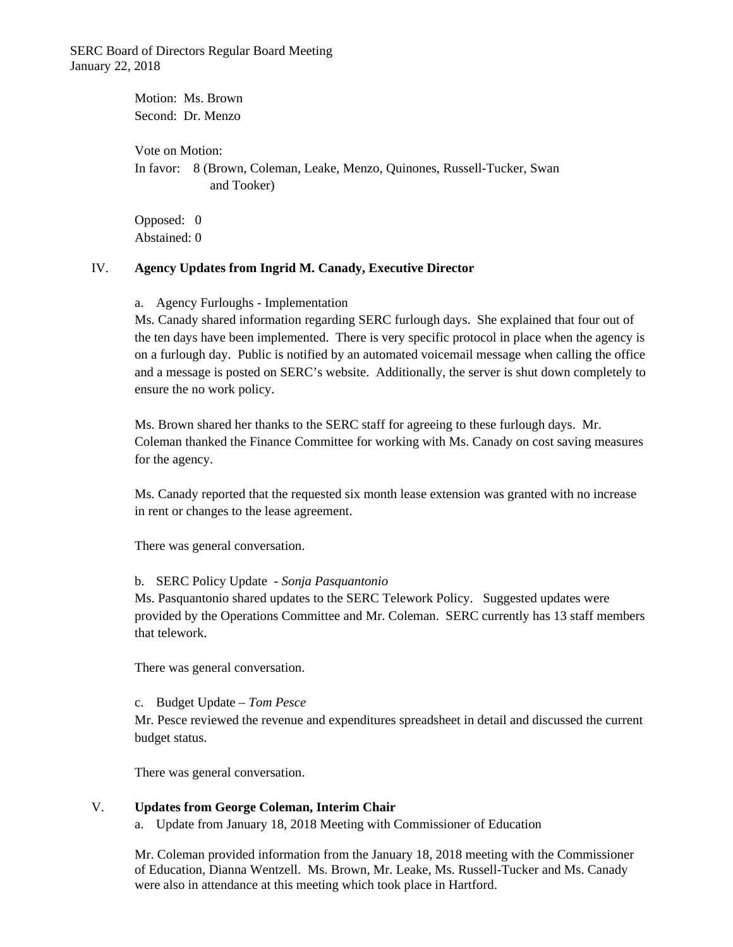SERC Board of Directors Regular Board Meeting January 22, 2018

> Motion: Ms. Brown Second: Dr. Menzo Vote on Motion: In favor: 8 (Brown, Coleman, Leake, Menzo, Quinones, Russell-Tucker, Swan and Tooker)

Opposed: 0 Abstained: 0

#### IV. **Agency Updates from Ingrid M. Canady, Executive Director**

a. Agency Furloughs - Implementation

Ms. Canady shared information regarding SERC furlough days. She explained that four out of the ten days have been implemented. There is very specific protocol in place when the agency is on a furlough day. Public is notified by an automated voicemail message when calling the office and a message is posted on SERC's website. Additionally, the server is shut down completely to ensure the no work policy.

Ms. Brown shared her thanks to the SERC staff for agreeing to these furlough days. Mr. Coleman thanked the Finance Committee for working with Ms. Canady on cost saving measures for the agency.

Ms. Canady reported that the requested six month lease extension was granted with no increase in rent or changes to the lease agreement.

There was general conversation.

#### b. SERC Policy Update - *Sonja Pasquantonio*

Ms. Pasquantonio shared updates to the SERC Telework Policy. Suggested updates were provided by the Operations Committee and Mr. Coleman. SERC currently has 13 staff members that telework.

There was general conversation.

#### c. Budget Update – *Tom Pesce*

Mr. Pesce reviewed the revenue and expenditures spreadsheet in detail and discussed the current budget status.

There was general conversation.

#### V. **Updates from George Coleman, Interim Chair**

a. Update from January 18, 2018 Meeting with Commissioner of Education

Mr. Coleman provided information from the January 18, 2018 meeting with the Commissioner of Education, Dianna Wentzell. Ms. Brown, Mr. Leake, Ms. Russell-Tucker and Ms. Canady were also in attendance at this meeting which took place in Hartford.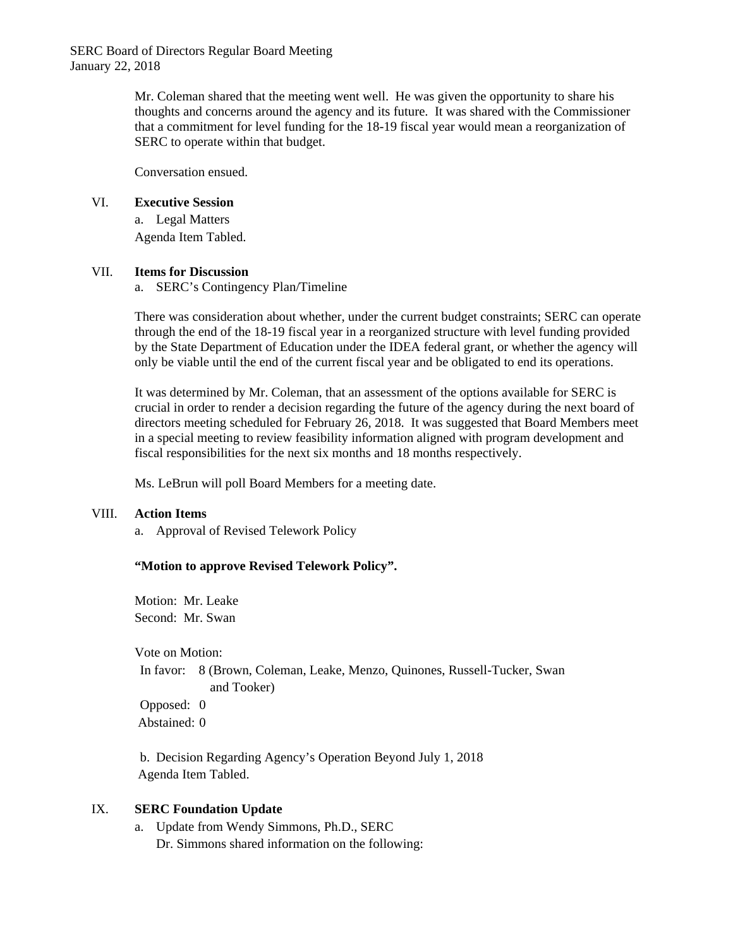SERC Board of Directors Regular Board Meeting January 22, 2018

> Mr. Coleman shared that the meeting went well. He was given the opportunity to share his thoughts and concerns around the agency and its future. It was shared with the Commissioner that a commitment for level funding for the 18-19 fiscal year would mean a reorganization of SERC to operate within that budget.

Conversation ensued.

### VI. **Executive Session**

a. Legal Matters Agenda Item Tabled.

### VII. **Items for Discussion**

a. SERC's Contingency Plan/Timeline

There was consideration about whether, under the current budget constraints; SERC can operate through the end of the 18-19 fiscal year in a reorganized structure with level funding provided by the State Department of Education under the IDEA federal grant, or whether the agency will only be viable until the end of the current fiscal year and be obligated to end its operations.

It was determined by Mr. Coleman, that an assessment of the options available for SERC is crucial in order to render a decision regarding the future of the agency during the next board of directors meeting scheduled for February 26, 2018. It was suggested that Board Members meet in a special meeting to review feasibility information aligned with program development and fiscal responsibilities for the next six months and 18 months respectively.

Ms. LeBrun will poll Board Members for a meeting date.

## VIII. **Action Items**

a. Approval of Revised Telework Policy

## **"Motion to approve Revised Telework Policy".**

Motion: Mr. Leake Second: Mr. Swan

Vote on Motion:

In favor: 8 (Brown, Coleman, Leake, Menzo, Quinones, Russell-Tucker, Swan and Tooker) Opposed: 0

Abstained: 0

b. Decision Regarding Agency's Operation Beyond July 1, 2018 Agenda Item Tabled.

## IX. **SERC Foundation Update**

a. Update from Wendy Simmons, Ph.D., SERC Dr. Simmons shared information on the following: